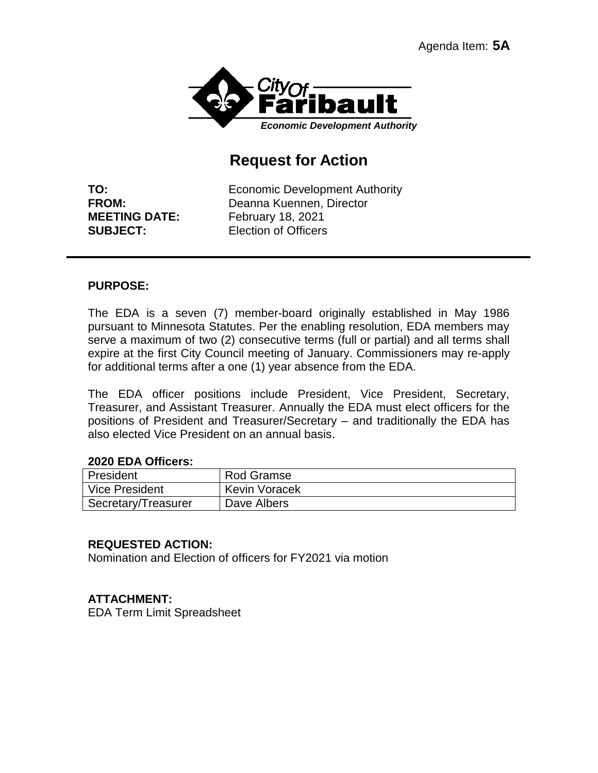

# **Request for Action**

**TO:** Economic Development Authority **FROM:** Deanna Kuennen, Director **MEETING DATE:** February 18, 2021 **SUBJECT:** Election of Officers

### **PURPOSE:**

The EDA is a seven (7) member-board originally established in May 1986 pursuant to Minnesota Statutes. Per the enabling resolution, EDA members may serve a maximum of two (2) consecutive terms (full or partial) and all terms shall expire at the first City Council meeting of January. Commissioners may re-apply for additional terms after a one (1) year absence from the EDA.

The EDA officer positions include President, Vice President, Secretary, Treasurer, and Assistant Treasurer. Annually the EDA must elect officers for the positions of President and Treasurer/Secretary – and traditionally the EDA has also elected Vice President on an annual basis.

#### **2020 EDA Officers:**

| President           | Rod Gramse           |
|---------------------|----------------------|
| Vice President      | <b>Kevin Voracek</b> |
| Secretary/Treasurer | Dave Albers          |

### **REQUESTED ACTION:**

Nomination and Election of officers for FY2021 via motion

### **ATTACHMENT:**

EDA Term Limit Spreadsheet